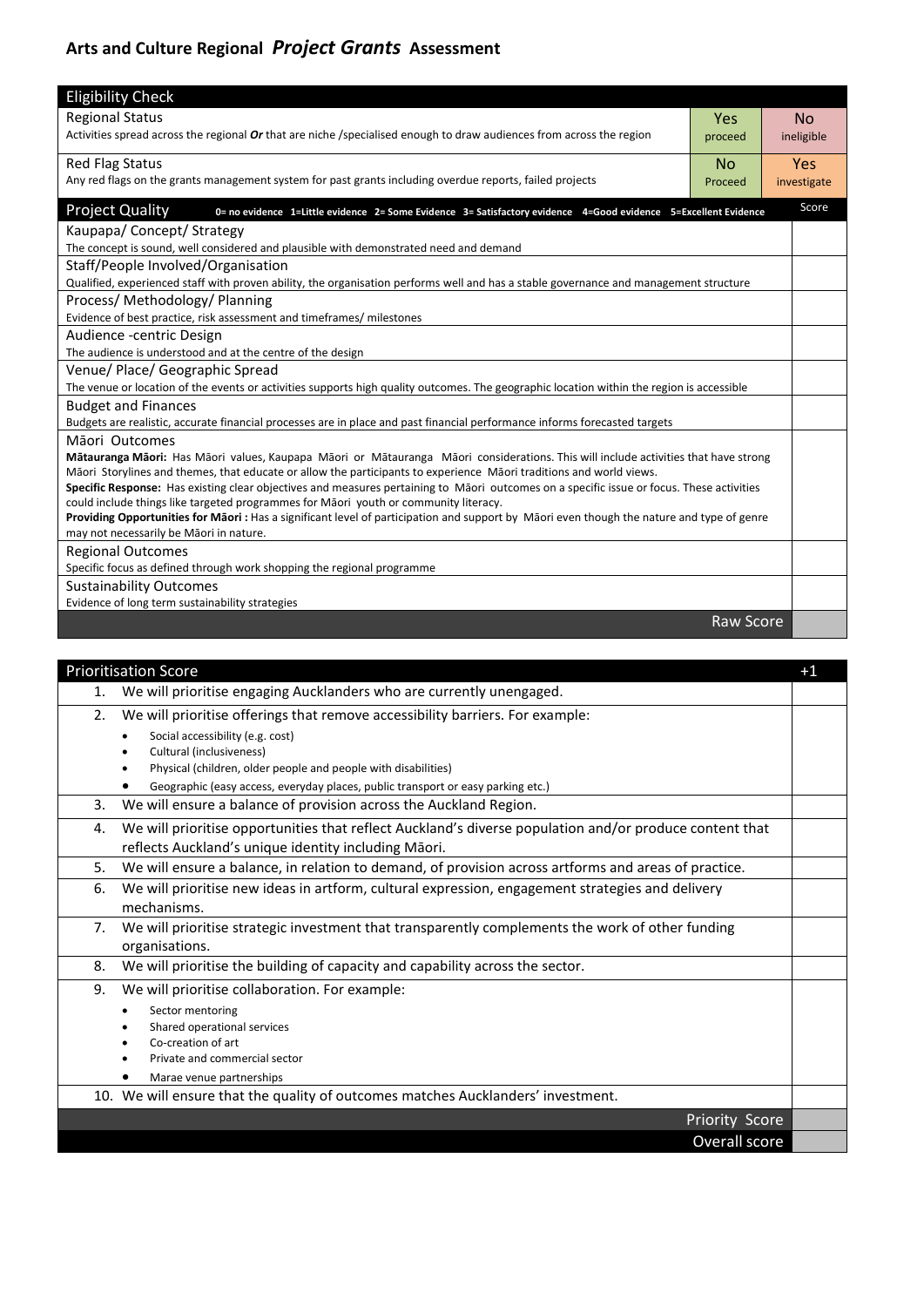## **Arts and Culture Regional** *Project Grants* **Assessment**

| <b>Eligibility Check</b>                                                                                                                                                              |                  |             |  |  |
|---------------------------------------------------------------------------------------------------------------------------------------------------------------------------------------|------------------|-------------|--|--|
| <b>Regional Status</b>                                                                                                                                                                | Yes              | <b>No</b>   |  |  |
| Activities spread across the regional Or that are niche /specialised enough to draw audiences from across the region                                                                  | proceed          | ineligible  |  |  |
| <b>Red Flag Status</b>                                                                                                                                                                | <b>No</b>        | <b>Yes</b>  |  |  |
| Any red flags on the grants management system for past grants including overdue reports, failed projects                                                                              | Proceed          | investigate |  |  |
| <b>Project Quality</b><br>0= no evidence 1=Little evidence 2= Some Evidence 3= Satisfactory evidence 4=Good evidence 5=Excellent Evidence                                             |                  | Score       |  |  |
| Kaupapa/ Concept/ Strategy                                                                                                                                                            |                  |             |  |  |
| The concept is sound, well considered and plausible with demonstrated need and demand                                                                                                 |                  |             |  |  |
| Staff/People Involved/Organisation                                                                                                                                                    |                  |             |  |  |
| Qualified, experienced staff with proven ability, the organisation performs well and has a stable governance and management structure                                                 |                  |             |  |  |
| Process/Methodology/Planning                                                                                                                                                          |                  |             |  |  |
| Evidence of best practice, risk assessment and timeframes/ milestones                                                                                                                 |                  |             |  |  |
| Audience -centric Design                                                                                                                                                              |                  |             |  |  |
| The audience is understood and at the centre of the design                                                                                                                            |                  |             |  |  |
| Venue/ Place/ Geographic Spread                                                                                                                                                       |                  |             |  |  |
| The venue or location of the events or activities supports high quality outcomes. The geographic location within the region is accessible                                             |                  |             |  |  |
| <b>Budget and Finances</b>                                                                                                                                                            |                  |             |  |  |
| Budgets are realistic, accurate financial processes are in place and past financial performance informs forecasted targets                                                            |                  |             |  |  |
| Māori Outcomes                                                                                                                                                                        |                  |             |  |  |
| Mātauranga Māori: Has Māori values, Kaupapa Māori or Mātauranga Māori considerations. This will include activities that have strong                                                   |                  |             |  |  |
| Māori Storylines and themes, that educate or allow the participants to experience Māori traditions and world views.                                                                   |                  |             |  |  |
| Specific Response: Has existing clear objectives and measures pertaining to Māori outcomes on a specific issue or focus. These activities                                             |                  |             |  |  |
| could include things like targeted programmes for Māori youth or community literacy.                                                                                                  |                  |             |  |  |
| Providing Opportunities for Māori : Has a significant level of participation and support by Māori even though the nature and type of genre<br>may not necessarily be Māori in nature. |                  |             |  |  |
| <b>Regional Outcomes</b>                                                                                                                                                              |                  |             |  |  |
| Specific focus as defined through work shopping the regional programme                                                                                                                |                  |             |  |  |
| <b>Sustainability Outcomes</b>                                                                                                                                                        |                  |             |  |  |
| Evidence of long term sustainability strategies                                                                                                                                       |                  |             |  |  |
|                                                                                                                                                                                       | <b>Raw Score</b> |             |  |  |

|    | <b>Prioritisation Score</b>                                                                                                                                     | $+1$ |
|----|-----------------------------------------------------------------------------------------------------------------------------------------------------------------|------|
| 1. | We will prioritise engaging Aucklanders who are currently unengaged.                                                                                            |      |
| 2. | We will prioritise offerings that remove accessibility barriers. For example:<br>Social accessibility (e.g. cost)                                               |      |
|    | Cultural (inclusiveness)<br>Physical (children, older people and people with disabilities)                                                                      |      |
|    | Geographic (easy access, everyday places, public transport or easy parking etc.)                                                                                |      |
| 3. | We will ensure a balance of provision across the Auckland Region.                                                                                               |      |
| 4. | We will prioritise opportunities that reflect Auckland's diverse population and/or produce content that<br>reflects Auckland's unique identity including Māori. |      |
| 5. | We will ensure a balance, in relation to demand, of provision across artforms and areas of practice.                                                            |      |
| 6. | We will prioritise new ideas in artform, cultural expression, engagement strategies and delivery<br>mechanisms.                                                 |      |
| 7. | We will prioritise strategic investment that transparently complements the work of other funding<br>organisations.                                              |      |
| 8. | We will prioritise the building of capacity and capability across the sector.                                                                                   |      |
| 9. | We will prioritise collaboration. For example:                                                                                                                  |      |
|    | Sector mentoring                                                                                                                                                |      |
|    | Shared operational services<br>Co-creation of art                                                                                                               |      |
|    | Private and commercial sector                                                                                                                                   |      |
|    | Marae venue partnerships                                                                                                                                        |      |
|    | 10. We will ensure that the quality of outcomes matches Aucklanders' investment.                                                                                |      |
|    | Priority Score                                                                                                                                                  |      |
|    | Overall score                                                                                                                                                   |      |